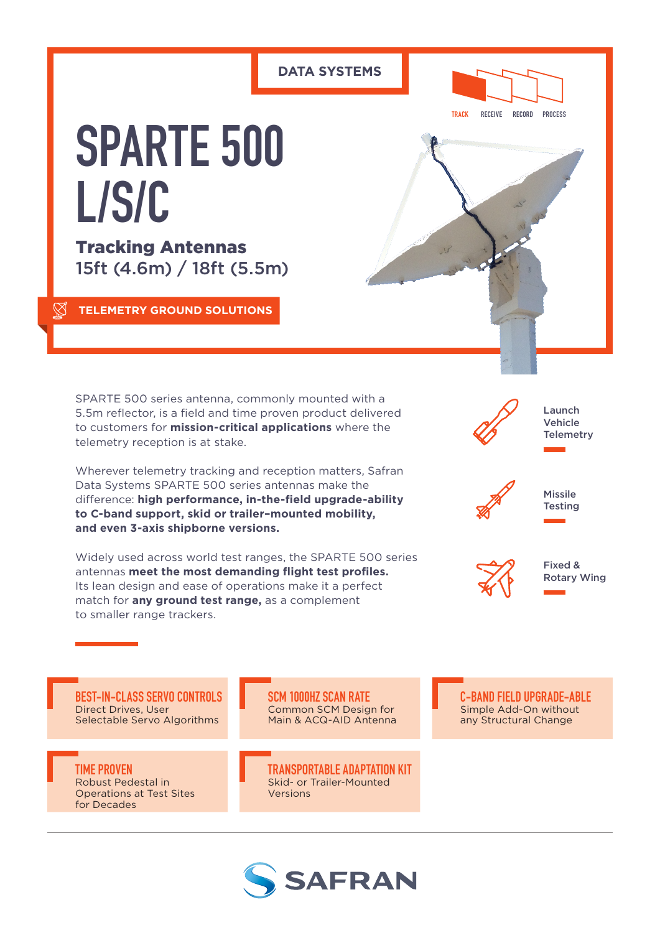# **DATA SYSTEMS**



**TRACK RECEIVE RECORD PROCESS**

# **SPARTE 500 L/S/C**

Tracking Antennas 15ft (4.6m) / 18ft (5.5m)

**TELEMETRY GROUND SOLUTIONS**

SPARTE 500 series antenna, commonly mounted with a 5.5m reflector, is a field and time proven product delivered to customers for **mission-critical applications** where the telemetry reception is at stake.

Wherever telemetry tracking and reception matters, Safran Data Systems SPARTE 500 series antennas make the difference: **high performance, in-the-field upgrade-ability to C-band support, skid or trailer–mounted mobility, and even 3-axis shipborne versions.**

Widely used across world test ranges, the SPARTE 500 series antennas **meet the most demanding flight test profiles.** Its lean design and ease of operations make it a perfect match for **any ground test range,** as a complement to smaller range trackers.





Fixed & Rotary Wing

**BEST-IN-CLASS SERVO CONTROLS** Direct Drives, User Selectable Servo Algorithms

**TIME PROVEN** Robust Pedestal in Operations at Test Sites for Decades

**SCM 1000HZ SCAN RATE** Common SCM Design for Main & ACQ-AID Antenna

**TRANSPORTABLE ADAPTATION KIT** Skid- or Trailer-Mounted Versions



**C-BAND FIELD UPGRADE-ABLE** Simple Add-On without any Structural Change